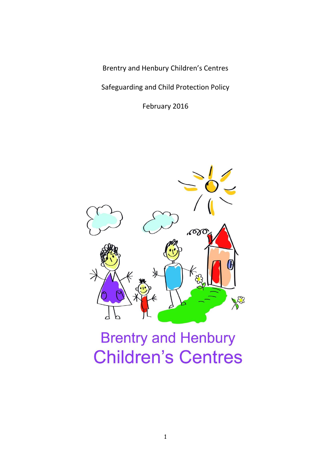Brentry and Henbury Children's Centres

Safeguarding and Child Protection Policy

February 2016



# **Brentry and Henbury Children's Centres**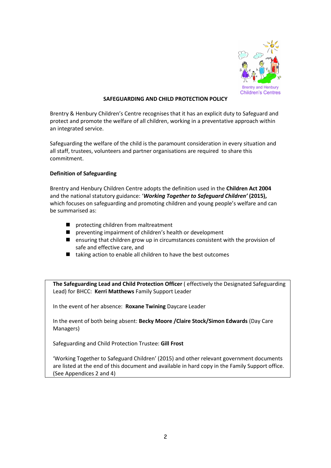

# **SAFEGUARDING AND CHILD PROTECTION POLICY**

Brentry & Henbury Children's Centre recognises that it has an explicit duty to Safeguard and protect and promote the welfare of all children, working in a preventative approach within an integrated service.

Safeguarding the welfare of the child is the paramount consideration in every situation and all staff, trustees, volunteers and partner organisations are required to share this commitment.

# **Definition of Safeguarding**

Brentry and Henbury Children Centre adopts the definition used in the **Children Act 2004**  and the national statutory guidance: '*Working Together to Safeguard Children'* **(2015),** which focuses on safeguarding and promoting children and young people's welfare and can be summarised as:

- **P** protecting children from maltreatment
- **P** preventing impairment of children's health or development
- ensuring that children grow up in circumstances consistent with the provision of safe and effective care, and
- $\blacksquare$  taking action to enable all children to have the best outcomes

**The Safeguarding Lead and Child Protection Officer** ( effectively the Designated Safeguarding Lead) for BHCC: **Kerri Matthews** Family Support Leader

In the event of her absence: **Roxane Twining** Daycare Leader

In the event of both being absent: **Becky Moore /Claire Stock/Simon Edwards** (Day Care Managers)

Safeguarding and Child Protection Trustee: **Gill Frost**

'Working Together to Safeguard Children' (2015) and other relevant government documents are listed at the end of this document and available in hard copy in the Family Support office. (See Appendices 2 and 4)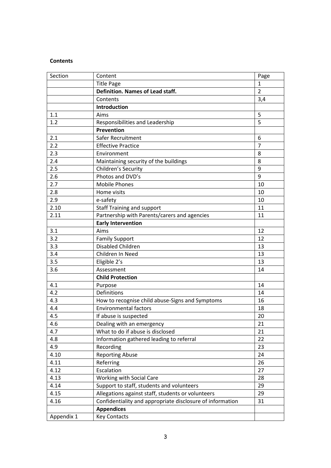# **Contents**

| <b>Title Page</b><br>1<br>$\overline{2}$<br>Definition. Names of Lead staff.<br>Contents<br>3,4<br>Introduction<br>5<br>1.1<br>Aims<br>$\overline{5}$<br>1.2<br>Responsibilities and Leadership<br><b>Prevention</b><br>2.1<br>Safer Recruitment<br>6<br>$\overline{7}$<br>2.2<br><b>Effective Practice</b><br>2.3<br>8<br>Environment<br>2.4<br>8<br>Maintaining security of the buildings<br>9<br>2.5<br>Children's Security<br>Photos and DVD's<br>9<br>2.6<br>2.7<br><b>Mobile Phones</b><br>10<br>Home visits<br>2.8<br>10<br>2.9<br>e-safety<br>10<br>2.10<br>11<br><b>Staff Training and support</b><br>2.11<br>Partnership with Parents/carers and agencies<br>11<br><b>Early Intervention</b><br>Aims<br>3.1<br>12<br>3.2<br><b>Family Support</b><br>12<br>Disabled Children<br>3.3<br>13<br>13<br>3.4<br>Children In Need<br>3.5<br>Eligible 2's<br>13<br>3.6<br>Assessment<br>14<br><b>Child Protection</b><br>4.1<br>14<br>Purpose<br>4.2<br><b>Definitions</b><br>14<br>4.3<br>How to recognise child abuse-Signs and Symptoms<br>16<br>4.4<br><b>Environmental factors</b><br>18<br>4.5<br>20<br>If abuse is suspected<br>Dealing with an emergency<br>21<br>4.6<br>What to do if abuse is disclosed<br>21<br>4.7<br>Information gathered leading to referral<br>22<br>4.8<br>23<br>4.9<br>Recording<br>4.10<br><b>Reporting Abuse</b><br>24<br>Referring<br>26<br>4.11<br>Escalation<br>4.12<br>27<br>4.13<br>Working with Social Care<br>28<br>4.14<br>Support to staff, students and volunteers<br>29<br>Allegations against staff, students or volunteers<br>4.15<br>29<br>Confidentiality and appropriate disclosure of information<br>4.16<br>31<br><b>Appendices</b><br><b>Key Contacts</b><br>Appendix 1 | Section | Content | Page |
|---------------------------------------------------------------------------------------------------------------------------------------------------------------------------------------------------------------------------------------------------------------------------------------------------------------------------------------------------------------------------------------------------------------------------------------------------------------------------------------------------------------------------------------------------------------------------------------------------------------------------------------------------------------------------------------------------------------------------------------------------------------------------------------------------------------------------------------------------------------------------------------------------------------------------------------------------------------------------------------------------------------------------------------------------------------------------------------------------------------------------------------------------------------------------------------------------------------------------------------------------------------------------------------------------------------------------------------------------------------------------------------------------------------------------------------------------------------------------------------------------------------------------------------------------------------------------------------------------------------------------------------------------------------------------------------------------------------------------------|---------|---------|------|
|                                                                                                                                                                                                                                                                                                                                                                                                                                                                                                                                                                                                                                                                                                                                                                                                                                                                                                                                                                                                                                                                                                                                                                                                                                                                                                                                                                                                                                                                                                                                                                                                                                                                                                                                 |         |         |      |
|                                                                                                                                                                                                                                                                                                                                                                                                                                                                                                                                                                                                                                                                                                                                                                                                                                                                                                                                                                                                                                                                                                                                                                                                                                                                                                                                                                                                                                                                                                                                                                                                                                                                                                                                 |         |         |      |
|                                                                                                                                                                                                                                                                                                                                                                                                                                                                                                                                                                                                                                                                                                                                                                                                                                                                                                                                                                                                                                                                                                                                                                                                                                                                                                                                                                                                                                                                                                                                                                                                                                                                                                                                 |         |         |      |
|                                                                                                                                                                                                                                                                                                                                                                                                                                                                                                                                                                                                                                                                                                                                                                                                                                                                                                                                                                                                                                                                                                                                                                                                                                                                                                                                                                                                                                                                                                                                                                                                                                                                                                                                 |         |         |      |
|                                                                                                                                                                                                                                                                                                                                                                                                                                                                                                                                                                                                                                                                                                                                                                                                                                                                                                                                                                                                                                                                                                                                                                                                                                                                                                                                                                                                                                                                                                                                                                                                                                                                                                                                 |         |         |      |
|                                                                                                                                                                                                                                                                                                                                                                                                                                                                                                                                                                                                                                                                                                                                                                                                                                                                                                                                                                                                                                                                                                                                                                                                                                                                                                                                                                                                                                                                                                                                                                                                                                                                                                                                 |         |         |      |
|                                                                                                                                                                                                                                                                                                                                                                                                                                                                                                                                                                                                                                                                                                                                                                                                                                                                                                                                                                                                                                                                                                                                                                                                                                                                                                                                                                                                                                                                                                                                                                                                                                                                                                                                 |         |         |      |
|                                                                                                                                                                                                                                                                                                                                                                                                                                                                                                                                                                                                                                                                                                                                                                                                                                                                                                                                                                                                                                                                                                                                                                                                                                                                                                                                                                                                                                                                                                                                                                                                                                                                                                                                 |         |         |      |
|                                                                                                                                                                                                                                                                                                                                                                                                                                                                                                                                                                                                                                                                                                                                                                                                                                                                                                                                                                                                                                                                                                                                                                                                                                                                                                                                                                                                                                                                                                                                                                                                                                                                                                                                 |         |         |      |
|                                                                                                                                                                                                                                                                                                                                                                                                                                                                                                                                                                                                                                                                                                                                                                                                                                                                                                                                                                                                                                                                                                                                                                                                                                                                                                                                                                                                                                                                                                                                                                                                                                                                                                                                 |         |         |      |
|                                                                                                                                                                                                                                                                                                                                                                                                                                                                                                                                                                                                                                                                                                                                                                                                                                                                                                                                                                                                                                                                                                                                                                                                                                                                                                                                                                                                                                                                                                                                                                                                                                                                                                                                 |         |         |      |
|                                                                                                                                                                                                                                                                                                                                                                                                                                                                                                                                                                                                                                                                                                                                                                                                                                                                                                                                                                                                                                                                                                                                                                                                                                                                                                                                                                                                                                                                                                                                                                                                                                                                                                                                 |         |         |      |
|                                                                                                                                                                                                                                                                                                                                                                                                                                                                                                                                                                                                                                                                                                                                                                                                                                                                                                                                                                                                                                                                                                                                                                                                                                                                                                                                                                                                                                                                                                                                                                                                                                                                                                                                 |         |         |      |
|                                                                                                                                                                                                                                                                                                                                                                                                                                                                                                                                                                                                                                                                                                                                                                                                                                                                                                                                                                                                                                                                                                                                                                                                                                                                                                                                                                                                                                                                                                                                                                                                                                                                                                                                 |         |         |      |
|                                                                                                                                                                                                                                                                                                                                                                                                                                                                                                                                                                                                                                                                                                                                                                                                                                                                                                                                                                                                                                                                                                                                                                                                                                                                                                                                                                                                                                                                                                                                                                                                                                                                                                                                 |         |         |      |
|                                                                                                                                                                                                                                                                                                                                                                                                                                                                                                                                                                                                                                                                                                                                                                                                                                                                                                                                                                                                                                                                                                                                                                                                                                                                                                                                                                                                                                                                                                                                                                                                                                                                                                                                 |         |         |      |
|                                                                                                                                                                                                                                                                                                                                                                                                                                                                                                                                                                                                                                                                                                                                                                                                                                                                                                                                                                                                                                                                                                                                                                                                                                                                                                                                                                                                                                                                                                                                                                                                                                                                                                                                 |         |         |      |
|                                                                                                                                                                                                                                                                                                                                                                                                                                                                                                                                                                                                                                                                                                                                                                                                                                                                                                                                                                                                                                                                                                                                                                                                                                                                                                                                                                                                                                                                                                                                                                                                                                                                                                                                 |         |         |      |
|                                                                                                                                                                                                                                                                                                                                                                                                                                                                                                                                                                                                                                                                                                                                                                                                                                                                                                                                                                                                                                                                                                                                                                                                                                                                                                                                                                                                                                                                                                                                                                                                                                                                                                                                 |         |         |      |
|                                                                                                                                                                                                                                                                                                                                                                                                                                                                                                                                                                                                                                                                                                                                                                                                                                                                                                                                                                                                                                                                                                                                                                                                                                                                                                                                                                                                                                                                                                                                                                                                                                                                                                                                 |         |         |      |
|                                                                                                                                                                                                                                                                                                                                                                                                                                                                                                                                                                                                                                                                                                                                                                                                                                                                                                                                                                                                                                                                                                                                                                                                                                                                                                                                                                                                                                                                                                                                                                                                                                                                                                                                 |         |         |      |
|                                                                                                                                                                                                                                                                                                                                                                                                                                                                                                                                                                                                                                                                                                                                                                                                                                                                                                                                                                                                                                                                                                                                                                                                                                                                                                                                                                                                                                                                                                                                                                                                                                                                                                                                 |         |         |      |
|                                                                                                                                                                                                                                                                                                                                                                                                                                                                                                                                                                                                                                                                                                                                                                                                                                                                                                                                                                                                                                                                                                                                                                                                                                                                                                                                                                                                                                                                                                                                                                                                                                                                                                                                 |         |         |      |
|                                                                                                                                                                                                                                                                                                                                                                                                                                                                                                                                                                                                                                                                                                                                                                                                                                                                                                                                                                                                                                                                                                                                                                                                                                                                                                                                                                                                                                                                                                                                                                                                                                                                                                                                 |         |         |      |
|                                                                                                                                                                                                                                                                                                                                                                                                                                                                                                                                                                                                                                                                                                                                                                                                                                                                                                                                                                                                                                                                                                                                                                                                                                                                                                                                                                                                                                                                                                                                                                                                                                                                                                                                 |         |         |      |
|                                                                                                                                                                                                                                                                                                                                                                                                                                                                                                                                                                                                                                                                                                                                                                                                                                                                                                                                                                                                                                                                                                                                                                                                                                                                                                                                                                                                                                                                                                                                                                                                                                                                                                                                 |         |         |      |
|                                                                                                                                                                                                                                                                                                                                                                                                                                                                                                                                                                                                                                                                                                                                                                                                                                                                                                                                                                                                                                                                                                                                                                                                                                                                                                                                                                                                                                                                                                                                                                                                                                                                                                                                 |         |         |      |
|                                                                                                                                                                                                                                                                                                                                                                                                                                                                                                                                                                                                                                                                                                                                                                                                                                                                                                                                                                                                                                                                                                                                                                                                                                                                                                                                                                                                                                                                                                                                                                                                                                                                                                                                 |         |         |      |
|                                                                                                                                                                                                                                                                                                                                                                                                                                                                                                                                                                                                                                                                                                                                                                                                                                                                                                                                                                                                                                                                                                                                                                                                                                                                                                                                                                                                                                                                                                                                                                                                                                                                                                                                 |         |         |      |
|                                                                                                                                                                                                                                                                                                                                                                                                                                                                                                                                                                                                                                                                                                                                                                                                                                                                                                                                                                                                                                                                                                                                                                                                                                                                                                                                                                                                                                                                                                                                                                                                                                                                                                                                 |         |         |      |
|                                                                                                                                                                                                                                                                                                                                                                                                                                                                                                                                                                                                                                                                                                                                                                                                                                                                                                                                                                                                                                                                                                                                                                                                                                                                                                                                                                                                                                                                                                                                                                                                                                                                                                                                 |         |         |      |
|                                                                                                                                                                                                                                                                                                                                                                                                                                                                                                                                                                                                                                                                                                                                                                                                                                                                                                                                                                                                                                                                                                                                                                                                                                                                                                                                                                                                                                                                                                                                                                                                                                                                                                                                 |         |         |      |
|                                                                                                                                                                                                                                                                                                                                                                                                                                                                                                                                                                                                                                                                                                                                                                                                                                                                                                                                                                                                                                                                                                                                                                                                                                                                                                                                                                                                                                                                                                                                                                                                                                                                                                                                 |         |         |      |
|                                                                                                                                                                                                                                                                                                                                                                                                                                                                                                                                                                                                                                                                                                                                                                                                                                                                                                                                                                                                                                                                                                                                                                                                                                                                                                                                                                                                                                                                                                                                                                                                                                                                                                                                 |         |         |      |
|                                                                                                                                                                                                                                                                                                                                                                                                                                                                                                                                                                                                                                                                                                                                                                                                                                                                                                                                                                                                                                                                                                                                                                                                                                                                                                                                                                                                                                                                                                                                                                                                                                                                                                                                 |         |         |      |
|                                                                                                                                                                                                                                                                                                                                                                                                                                                                                                                                                                                                                                                                                                                                                                                                                                                                                                                                                                                                                                                                                                                                                                                                                                                                                                                                                                                                                                                                                                                                                                                                                                                                                                                                 |         |         |      |
|                                                                                                                                                                                                                                                                                                                                                                                                                                                                                                                                                                                                                                                                                                                                                                                                                                                                                                                                                                                                                                                                                                                                                                                                                                                                                                                                                                                                                                                                                                                                                                                                                                                                                                                                 |         |         |      |
|                                                                                                                                                                                                                                                                                                                                                                                                                                                                                                                                                                                                                                                                                                                                                                                                                                                                                                                                                                                                                                                                                                                                                                                                                                                                                                                                                                                                                                                                                                                                                                                                                                                                                                                                 |         |         |      |
|                                                                                                                                                                                                                                                                                                                                                                                                                                                                                                                                                                                                                                                                                                                                                                                                                                                                                                                                                                                                                                                                                                                                                                                                                                                                                                                                                                                                                                                                                                                                                                                                                                                                                                                                 |         |         |      |
|                                                                                                                                                                                                                                                                                                                                                                                                                                                                                                                                                                                                                                                                                                                                                                                                                                                                                                                                                                                                                                                                                                                                                                                                                                                                                                                                                                                                                                                                                                                                                                                                                                                                                                                                 |         |         |      |
|                                                                                                                                                                                                                                                                                                                                                                                                                                                                                                                                                                                                                                                                                                                                                                                                                                                                                                                                                                                                                                                                                                                                                                                                                                                                                                                                                                                                                                                                                                                                                                                                                                                                                                                                 |         |         |      |
|                                                                                                                                                                                                                                                                                                                                                                                                                                                                                                                                                                                                                                                                                                                                                                                                                                                                                                                                                                                                                                                                                                                                                                                                                                                                                                                                                                                                                                                                                                                                                                                                                                                                                                                                 |         |         |      |
|                                                                                                                                                                                                                                                                                                                                                                                                                                                                                                                                                                                                                                                                                                                                                                                                                                                                                                                                                                                                                                                                                                                                                                                                                                                                                                                                                                                                                                                                                                                                                                                                                                                                                                                                 |         |         |      |
|                                                                                                                                                                                                                                                                                                                                                                                                                                                                                                                                                                                                                                                                                                                                                                                                                                                                                                                                                                                                                                                                                                                                                                                                                                                                                                                                                                                                                                                                                                                                                                                                                                                                                                                                 |         |         |      |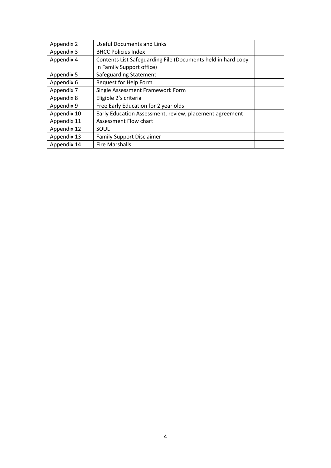| Appendix 2  | <b>Useful Documents and Links</b>                            |  |
|-------------|--------------------------------------------------------------|--|
| Appendix 3  | <b>BHCC Policies Index</b>                                   |  |
| Appendix 4  | Contents List Safeguarding File (Documents held in hard copy |  |
|             | in Family Support office)                                    |  |
| Appendix 5  | Safeguarding Statement                                       |  |
| Appendix 6  | Request for Help Form                                        |  |
| Appendix 7  | Single Assessment Framework Form                             |  |
| Appendix 8  | Eligible 2's criteria                                        |  |
| Appendix 9  | Free Early Education for 2 year olds                         |  |
| Appendix 10 | Early Education Assessment, review, placement agreement      |  |
| Appendix 11 | Assessment Flow chart                                        |  |
| Appendix 12 | SOUL                                                         |  |
| Appendix 13 | <b>Family Support Disclaimer</b>                             |  |
| Appendix 14 | <b>Fire Marshalls</b>                                        |  |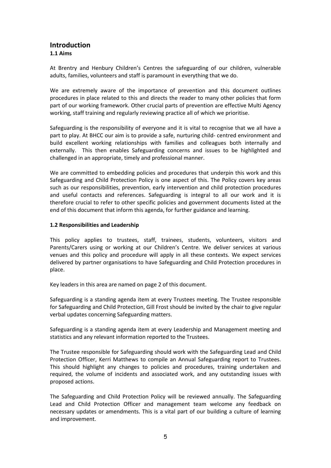# **Introduction 1.1 Aims**

At Brentry and Henbury Children's Centres the safeguarding of our children, vulnerable adults, families, volunteers and staff is paramount in everything that we do.

We are extremely aware of the importance of prevention and this document outlines procedures in place related to this and directs the reader to many other policies that form part of our working framework. Other crucial parts of prevention are effective Multi Agency working, staff training and regularly reviewing practice all of which we prioritise.

Safeguarding is the responsibility of everyone and it is vital to recognise that we all have a part to play. At BHCC our aim is to provide a safe, nurturing child- centred environment and build excellent working relationships with families and colleagues both internally and externally. This then enables Safeguarding concerns and issues to be highlighted and challenged in an appropriate, timely and professional manner.

We are committed to embedding policies and procedures that underpin this work and this Safeguarding and Child Protection Policy is one aspect of this. The Policy covers key areas such as our responsibilities, prevention, early intervention and child protection procedures and useful contacts and references. Safeguarding is integral to all our work and it is therefore crucial to refer to other specific policies and government documents listed at the end of this document that inform this agenda, for further guidance and learning.

#### **1.2 Responsibilities and Leadership**

This policy applies to trustees, staff, trainees, students, volunteers, visitors and Parents/Carers using or working at our Children's Centre. We deliver services at various venues and this policy and procedure will apply in all these contexts. We expect services delivered by partner organisations to have Safeguarding and Child Protection procedures in place.

Key leaders in this area are named on page 2 of this document.

Safeguarding is a standing agenda item at every Trustees meeting. The Trustee responsible for Safeguarding and Child Protection, Gill Frost should be invited by the chair to give regular verbal updates concerning Safeguarding matters.

Safeguarding is a standing agenda item at every Leadership and Management meeting and statistics and any relevant information reported to the Trustees.

The Trustee responsible for Safeguarding should work with the Safeguarding Lead and Child Protection Officer, Kerri Matthews to compile an Annual Safeguarding report to Trustees. This should highlight any changes to policies and procedures, training undertaken and required, the volume of incidents and associated work, and any outstanding issues with proposed actions.

The Safeguarding and Child Protection Policy will be reviewed annually. The Safeguarding Lead and Child Protection Officer and management team welcome any feedback on necessary updates or amendments. This is a vital part of our building a culture of learning and improvement.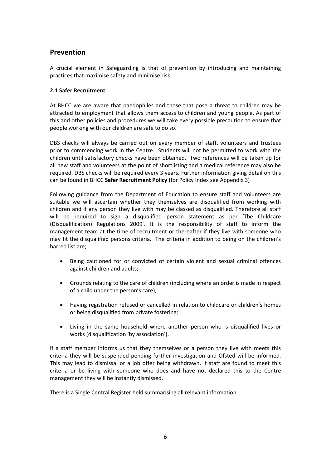# **Prevention**

A crucial element in Safeguarding is that of prevention by introducing and maintaining practices that maximise safety and minimise risk.

# **2.1 Safer Recruitment**

At BHCC we are aware that paedophiles and those that pose a threat to children may be attracted to employment that allows them access to children and young people. As part of this and other policies and procedures we will take every possible precaution to ensure that people working with our children are safe to do so.

DBS checks will always be carried out on every member of staff, volunteers and trustees prior to commencing work in the Centre. Students will not be permitted to work with the children until satisfactory checks have been obtained. Two references will be taken up for all new staff and volunteers at the point of shortlisting and a medical reference may also be required. DBS checks will be required every 3 years. Further information giving detail on this can be found in BHCC **Safer Recruitment Policy** (for Policy Index see Appendix 3)

Following guidance from the Department of Education to ensure staff and volunteers are suitable we will ascertain whether they themselves are disqualified from working with children and if any person they live with may be classed as disqualified. Therefore all staff will be required to sign a disqualified person statement as per 'The Childcare (Disqualification) Regulations 2009'. It is the responsibility of staff to inform the management team at the time of recruitment or thereafter if they live with someone who may fit the disqualified persons criteria. The criteria in addition to being on the children's barred list are;

- Being cautioned for or convicted of certain violent and sexual criminal offences against children and adults;
- Grounds relating to the care of children (including where an order is made in respect of a child under the person's care);
- Having registration refused or cancelled in relation to childcare or children's homes or being disqualified from private fostering;
- Living in the same household where another person who is disqualified lives or works (disqualification 'by association').

If a staff member informs us that they themselves or a person they live with meets this criteria they will be suspended pending further investigation and Ofsted will be informed. This may lead to dismissal or a job offer being withdrawn. If staff are found to meet this criteria or be living with someone who does and have not declared this to the Centre management they will be instantly dismissed.

There is a Single Central Register held summarising all relevant information.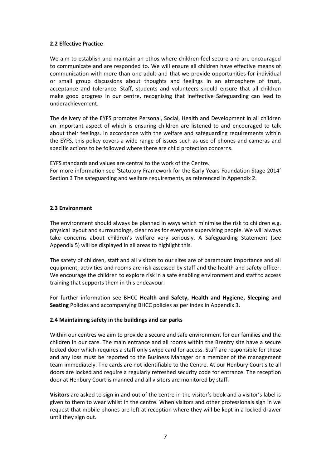#### **2.2 Effective Practice**

We aim to establish and maintain an ethos where children feel secure and are encouraged to communicate and are responded to. We will ensure all children have effective means of communication with more than one adult and that we provide opportunities for individual or small group discussions about thoughts and feelings in an atmosphere of trust, acceptance and tolerance. Staff, students and volunteers should ensure that all children make good progress in our centre, recognising that ineffective Safeguarding can lead to underachievement.

The delivery of the EYFS promotes Personal, Social, Health and Development in all children an important aspect of which is ensuring children are listened to and encouraged to talk about their feelings. In accordance with the welfare and safeguarding requirements within the EYFS, this policy covers a wide range of issues such as use of phones and cameras and specific actions to be followed where there are child protection concerns.

EYFS standards and values are central to the work of the Centre.

For more information see 'Statutory Framework for the Early Years Foundation Stage 2014' Section 3 The safeguarding and welfare requirements, as referenced in Appendix 2.

# **2.3 Environment**

The environment should always be planned in ways which minimise the risk to children e.g. physical layout and surroundings, clear roles for everyone supervising people. We will always take concerns about children's welfare very seriously. A Safeguarding Statement (see Appendix 5) will be displayed in all areas to highlight this.

The safety of children, staff and all visitors to our sites are of paramount importance and all equipment, activities and rooms are risk assessed by staff and the health and safety officer. We encourage the children to explore risk in a safe enabling environment and staff to access training that supports them in this endeavour.

For further information see BHCC **Health and Safety, Health and Hygiene, Sleeping and Seating** Policies and accompanying BHCC policies as per index in Appendix 3.

#### **2.4 Maintaining safety in the buildings and car parks**

Within our centres we aim to provide a secure and safe environment for our families and the children in our care. The main entrance and all rooms within the Brentry site have a secure locked door which requires a staff only swipe card for access. Staff are responsible for these and any loss must be reported to the Business Manager or a member of the management team immediately. The cards are not identifiable to the Centre. At our Henbury Court site all doors are locked and require a regularly refreshed security code for entrance. The reception door at Henbury Court is manned and all visitors are monitored by staff.

**Visitors** are asked to sign in and out of the centre in the visitor's book and a visitor's label is given to them to wear whilst in the centre. When visitors and other professionals sign in we request that mobile phones are left at reception where they will be kept in a locked drawer until they sign out.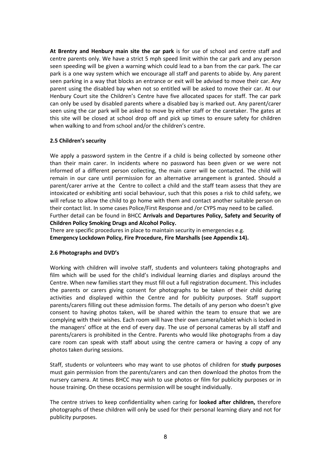**At Brentry and Henbury main site the car park** is for use of school and centre staff and centre parents only. We have a strict 5 mph speed limit within the car park and any person seen speeding will be given a warning which could lead to a ban from the car park. The car park is a one way system which we encourage all staff and parents to abide by. Any parent seen parking in a way that blocks an entrance or exit will be advised to move their car. Any parent using the disabled bay when not so entitled will be asked to move their car. At our Henbury Court site the Children's Centre have five allocated spaces for staff. The car park can only be used by disabled parents where a disabled bay is marked out. Any parent/carer seen using the car park will be asked to move by either staff or the caretaker. The gates at this site will be closed at school drop off and pick up times to ensure safety for children when walking to and from school and/or the children's centre.

#### **2.5 Children's security**

We apply a password system in the Centre if a child is being collected by someone other than their main carer. In incidents where no password has been given or we were not informed of a different person collecting, the main carer will be contacted. The child will remain in our care until permission for an alternative arrangement is granted. Should a parent/carer arrive at the Centre to collect a child and the staff team assess that they are intoxicated or exhibiting anti social behaviour, such that this poses a risk to child safety, we will refuse to allow the child to go home with them and contact another suitable person on their contact list. In some cases Police/First Response and /or CYPS may need to be called. Further detail can be found in BHCC **Arrivals and Departures Policy, Safety and Security of Children Policy Smoking Drugs and Alcohol Policy.**

There are specific procedures in place to maintain security in emergencies e.g. **Emergency Lockdown Policy, Fire Procedure, Fire Marshalls (see Appendix 14).**

#### **2.6 Photographs and DVD's**

Working with children will involve staff, students and volunteers taking photographs and film which will be used for the child's individual learning diaries and displays around the Centre. When new families start they must fill out a full registration document. This includes the parents or carers giving consent for photographs to be taken of their child during activities and displayed within the Centre and for publicity purposes. Staff support parents/carers filling out these admission forms. The details of any person who doesn't give consent to having photos taken, will be shared within the team to ensure that we are complying with their wishes. Each room will have their own camera/tablet which is locked in the managers' office at the end of every day. The use of personal cameras by all staff and parents/carers is prohibited in the Centre. Parents who would like photographs from a day care room can speak with staff about using the centre camera or having a copy of any photos taken during sessions.

Staff, students or volunteers who may want to use photos of children for **study purposes** must gain permission from the parents/carers and can then download the photos from the nursery camera. At times BHCC may wish to use photos or film for publicity purposes or in house training. On these occasions permission will be sought individually.

The centre strives to keep confidentiality when caring for **looked after children,** therefore photographs of these children will only be used for their personal learning diary and not for publicity purposes.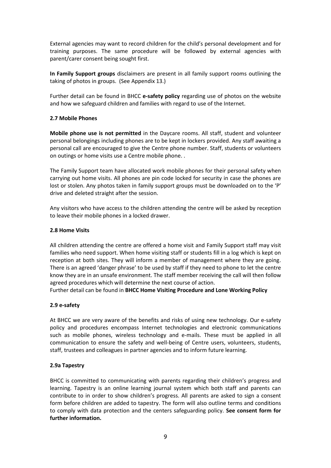External agencies may want to record children for the child's personal development and for training purposes. The same procedure will be followed by external agencies with parent/carer consent being sought first.

**In Family Support groups** disclaimers are present in all family support rooms outlining the taking of photos in groups. (See Appendix 13.)

Further detail can be found in BHCC **e-safety policy** regarding use of photos on the website and how we safeguard children and families with regard to use of the Internet.

# **2.7 Mobile Phones**

**Mobile phone use is not permitted** in the Daycare rooms. All staff, student and volunteer personal belongings including phones are to be kept in lockers provided. Any staff awaiting a personal call are encouraged to give the Centre phone number. Staff, students or volunteers on outings or home visits use a Centre mobile phone. .

The Family Support team have allocated work mobile phones for their personal safety when carrying out home visits. All phones are pin code locked for security in case the phones are lost or stolen. Any photos taken in family support groups must be downloaded on to the 'P' drive and deleted straight after the session.

Any visitors who have access to the children attending the centre will be asked by reception to leave their mobile phones in a locked drawer.

#### **2.8 Home Visits**

All children attending the centre are offered a home visit and Family Support staff may visit families who need support. When home visiting staff or students fill in a log which is kept on reception at both sites. They will inform a member of management where they are going. There is an agreed 'danger phrase' to be used by staff if they need to phone to let the centre know they are in an unsafe environment. The staff member receiving the call will then follow agreed procedures which will determine the next course of action.

Further detail can be found in **BHCC Home Visiting Procedure and Lone Working Policy**

#### **2.9 e-safety**

At BHCC we are very aware of the benefits and risks of using new technology. Our e-safety policy and procedures encompass Internet technologies and electronic communications such as mobile phones, wireless technology and e-mails. These must be applied in all communication to ensure the safety and well-being of Centre users, volunteers, students, staff, trustees and colleagues in partner agencies and to inform future learning.

#### **2.9a Tapestry**

BHCC is committed to communicating with parents regarding their children's progress and learning. Tapestry is an online learning journal system which both staff and parents can contribute to in order to show children's progress. All parents are asked to sign a consent form before children are added to tapestry. The form will also outline terms and conditions to comply with data protection and the centers safeguarding policy. **See consent form for further information.**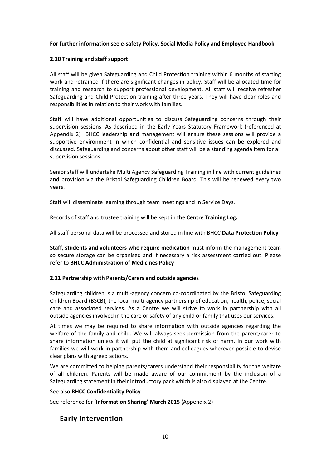# **For further information see e-safety Policy, Social Media Policy and Employee Handbook**

# **2.10 Training and staff support**

All staff will be given Safeguarding and Child Protection training within 6 months of starting work and retrained if there are significant changes in policy. Staff will be allocated time for training and research to support professional development. All staff will receive refresher Safeguarding and Child Protection training after three years. They will have clear roles and responsibilities in relation to their work with families.

Staff will have additional opportunities to discuss Safeguarding concerns through their supervision sessions. As described in the Early Years Statutory Framework (referenced at Appendix 2) BHCC leadership and management will ensure these sessions will provide a supportive environment in which confidential and sensitive issues can be explored and discussed. Safeguarding and concerns about other staff will be a standing agenda item for all supervision sessions.

Senior staff will undertake Multi Agency Safeguarding Training in line with current guidelines and provision via the Bristol Safeguarding Children Board. This will be renewed every two years.

Staff will disseminate learning through team meetings and In Service Days.

Records of staff and trustee training will be kept in the **Centre Training Log.**

All staff personal data will be processed and stored in line with BHCC **Data Protection Policy**

**Staff, students and volunteers who require medication** must inform the management team so secure storage can be organised and if necessary a risk assessment carried out. Please refer to **BHCC Administration of Medicines Policy**

#### **2.11 Partnership with Parents/Carers and outside agencies**

Safeguarding children is a multi-agency concern co-coordinated by the Bristol Safeguarding Children Board (BSCB), the local multi-agency partnership of education, health, police, social care and associated services. As a Centre we will strive to work in partnership with all outside agencies involved in the care or safety of any child or family that uses our services.

At times we may be required to share information with outside agencies regarding the welfare of the family and child. We will always seek permission from the parent/carer to share information unless it will put the child at significant risk of harm. In our work with families we will work in partnership with them and colleagues wherever possible to devise clear plans with agreed actions.

We are committed to helping parents/carers understand their responsibility for the welfare of all children. Parents will be made aware of our commitment by the inclusion of a Safeguarding statement in their introductory pack which is also displayed at the Centre.

See also **BHCC Confidentiality Policy**

See reference for '**Information Sharing' March 2015** (Appendix 2)

# **Early Intervention**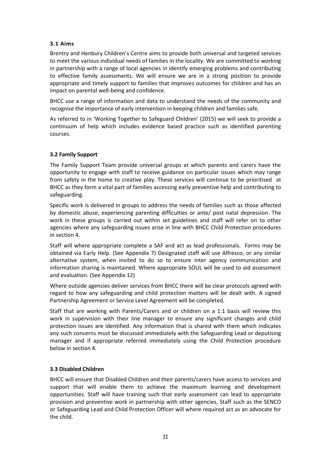# **3.1 Aims**

Brentry and Henbury Children's Centre aims to provide both universal and targeted services to meet the various individual needs of families in the locality. We are committed to working in partnership with a range of local agencies in identify emerging problems and contributing to effective family assessments. We will ensure we are in a strong position to provide appropriate and timely support to families that improves outcomes for children and has an impact on parental well-being and confidence.

BHCC use a range of information and data to understand the needs of the community and recognise the importance of early intervention in keeping children and families safe.

As referred to in 'Working Together to Safeguard Children' (2015) we will seek to provide a continuum of help which includes evidence based practice such as identified parenting courses.

# **3.2 Family Support**

The Family Support Team provide universal groups at which parents and carers have the opportunity to engage with staff to receive guidance on particular issues which may range from safety in the home to creative play. These services will continue to be prioritised at BHCC as they form a vital part of families accessing early preventive help and contributing to safeguarding.

Specific work is delivered in groups to address the needs of families such as those affected by domestic abuse, experiencing parenting difficulties or ante/ post natal depression. The work in these groups is carried out within set guidelines and staff will refer on to other agencies where any safeguarding issues arise in line with BHCC Child Protection procedures in section 4.

Staff will where appropriate complete a SAF and act as lead professionals. Forms may be obtained via Early Help. (See Appendix 7) Designated staff will use Alfresco, or any similar alternative system, when invited to do so to ensure inter agency communication and information sharing is maintained. Where appropriate SOUL will be used to aid assessment and evaluation. (See Appendix 12)

Where outside agencies deliver services from BHCC there will be clear protocols agreed with regard to how any safeguarding and child protection matters will be dealt with. A signed Partnership Agreement or Service Level Agreement will be completed.

Staff that are working with Parents/Carers and or children on a 1:1 basis will review this work in supervision with their line manager to ensure any significant changes and child protection issues are identified. Any information that is shared with them which indicates any such concerns must be discussed immediately with the Safeguarding Lead or deputising manager and if appropriate referred immediately using the Child Protection procedure below in section 4.

#### **3.3 Disabled Children**

BHCC will ensure that Disabled Children and their parents/carers have access to services and support that will enable them to achieve the maximum learning and development opportunities. Staff will have training such that early assessment can lead to appropriate provision and preventive work in partnership with other agencies, Staff such as the SENCO or Safeguarding Lead and Child Protection Officer will where required act as an advocate for the child.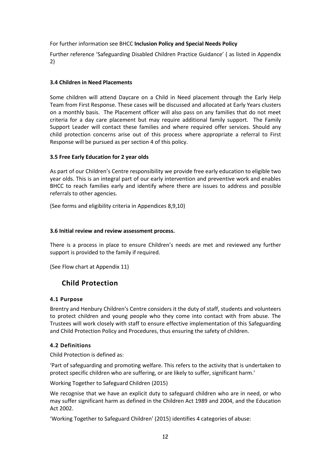# For further information see BHCC **Inclusion Policy and Special Needs Policy**

Further reference 'Safeguarding Disabled Children Practice Guidance' ( as listed in Appendix 2)

# **3.4 Children in Need Placements**

Some children will attend Daycare on a Child in Need placement through the Early Help Team from First Response. These cases will be discussed and allocated at Early Years clusters on a monthly basis. The Placement officer will also pass on any families that do not meet criteria for a day care placement but may require additional family support. The Family Support Leader will contact these families and where required offer services. Should any child protection concerns arise out of this process where appropriate a referral to First Response will be pursued as per section 4 of this policy.

# **3.5 Free Early Education for 2 year olds**

As part of our Children's Centre responsibility we provide free early education to eligible two year olds. This is an integral part of our early intervention and preventive work and enables BHCC to reach families early and identify where there are issues to address and possible referrals to other agencies.

(See forms and eligibility criteria in Appendices 8,9,10)

### **3.6 Initial review and review assessment process.**

There is a process in place to ensure Children's needs are met and reviewed any further support is provided to the family if required.

(See Flow chart at Appendix 11)

# **Child Protection**

#### **4.1 Purpose**

Brentry and Henbury Children's Centre considers it the duty of staff, students and volunteers to protect children and young people who they come into contact with from abuse. The Trustees will work closely with staff to ensure effective implementation of this Safeguarding and Child Protection Policy and Procedures, thus ensuring the safety of children.

#### **4.2 Definitions**

Child Protection is defined as:

'Part of safeguarding and promoting welfare. This refers to the activity that is undertaken to protect specific children who are suffering, or are likely to suffer, significant harm.'

Working Together to Safeguard Children (2015)

We recognise that we have an explicit duty to safeguard children who are in need, or who may suffer significant harm as defined in the Children Act 1989 and 2004, and the Education Act 2002.

'Working Together to Safeguard Children' (2015) identifies 4 categories of abuse: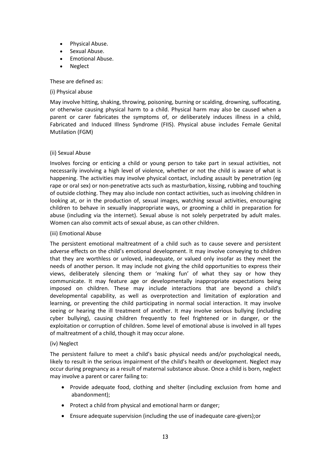- Physical Abuse.
- Sexual Abuse.
- Emotional Abuse.
- Neglect

These are defined as:

#### (i) Physical abuse

May involve hitting, shaking, throwing, poisoning, burning or scalding, drowning, suffocating, or otherwise causing physical harm to a child. Physical harm may also be caused when a parent or carer fabricates the symptoms of, or deliberately induces illness in a child, Fabricated and Induced Illness Syndrome (FIIS). Physical abuse includes Female Genital Mutilation (FGM)

#### (ii) Sexual Abuse

Involves forcing or enticing a child or young person to take part in sexual activities, not necessarily involving a high level of violence, whether or not the child is aware of what is happening. The activities may involve physical contact, including assault by penetration (eg rape or oral sex) or non-penetrative acts such as masturbation, kissing, rubbing and touching of outside clothing. They may also include non contact activities, such as involving children in looking at, or in the production of, sexual images, watching sexual activities, encouraging children to behave in sexually inappropriate ways, or grooming a child in preparation for abuse (including via the internet). Sexual abuse is not solely perpetrated by adult males. Women can also commit acts of sexual abuse, as can other children.

#### (iii) Emotional Abuse

The persistent emotional maltreatment of a child such as to cause severe and persistent adverse effects on the child's emotional development. It may involve conveying to children that they are worthless or unloved, inadequate, or valued only insofar as they meet the needs of another person. It may include not giving the child opportunities to express their views, deliberately silencing them or 'making fun' of what they say or how they communicate. It may feature age or developmentally inappropriate expectations being imposed on children. These may include interactions that are beyond a child's developmental capability, as well as overprotection and limitation of exploration and learning, or preventing the child participating in normal social interaction. It may involve seeing or hearing the ill treatment of another. It may involve serious bullying (including cyber bullying), causing children frequently to feel frightened or in danger, or the exploitation or corruption of children. Some level of emotional abuse is involved in all types of maltreatment of a child, though it may occur alone.

#### (iv) Neglect

The persistent failure to meet a child's basic physical needs and/or psychological needs, likely to result in the serious impairment of the child's health or development. Neglect may occur during pregnancy as a result of maternal substance abuse. Once a child is born, neglect may involve a parent or carer failing to:

- Provide adequate food, clothing and shelter (including exclusion from home and abandonment);
- Protect a child from physical and emotional harm or danger:
- Ensure adequate supervision (including the use of inadequate care-givers);or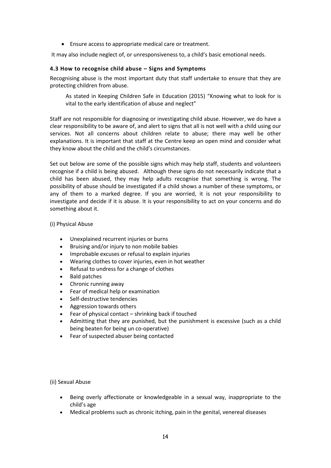Ensure access to appropriate medical care or treatment.

It may also include neglect of, or unresponsiveness to, a child's basic emotional needs.

# **4.3 How to recognise child abuse – Signs and Symptoms**

Recognising abuse is the most important duty that staff undertake to ensure that they are protecting children from abuse.

As stated in Keeping Children Safe in Education (2015) "Knowing what to look for is vital to the early identification of abuse and neglect"

Staff are not responsible for diagnosing or investigating child abuse. However, we do have a clear responsibility to be aware of, and alert to signs that all is not well with a child using our services. Not all concerns about children relate to abuse; there may well be other explanations. It is important that staff at the Centre keep an open mind and consider what they know about the child and the child's circumstances.

Set out below are some of the possible signs which may help staff, students and volunteers recognise if a child is being abused. Although these signs do not necessarily indicate that a child has been abused, they may help adults recognise that something is wrong. The possibility of abuse should be investigated if a child shows a number of these symptoms, or any of them to a marked degree. If you are worried, it is not your responsibility to investigate and decide if it is abuse. It is your responsibility to act on your concerns and do something about it.

# (i) Physical Abuse

- Unexplained recurrent injuries or burns
- Bruising and/or injury to non mobile babies
- Improbable excuses or refusal to explain injuries
- Wearing clothes to cover injuries, even in hot weather
- Refusal to undress for a change of clothes
- Bald patches
- Chronic running away
- Fear of medical help or examination
- Self-destructive tendencies
- Aggression towards others
- Fear of physical contact shrinking back if touched
- Admitting that they are punished, but the punishment is excessive (such as a child being beaten for being un co-operative)
- Fear of suspected abuser being contacted

(ii) Sexual Abuse

- Being overly affectionate or knowledgeable in a sexual way, inappropriate to the child's age
- Medical problems such as chronic itching, pain in the genital, venereal diseases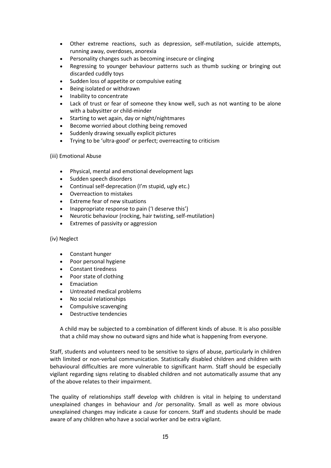- Other extreme reactions, such as depression, self-mutilation, suicide attempts, running away, overdoses, anorexia
- Personality changes such as becoming insecure or clinging
- Regressing to younger behaviour patterns such as thumb sucking or bringing out discarded cuddly toys
- Sudden loss of appetite or compulsive eating
- Being isolated or withdrawn
- Inability to concentrate
- Lack of trust or fear of someone they know well, such as not wanting to be alone with a babysitter or child-minder
- Starting to wet again, day or night/nightmares
- Become worried about clothing being removed
- Suddenly drawing sexually explicit pictures
- Trying to be 'ultra-good' or perfect; overreacting to criticism

#### (iii) Emotional Abuse

- Physical, mental and emotional development lags
- Sudden speech disorders
- Continual self-deprecation (I'm stupid, ugly etc.)
- Overreaction to mistakes
- Extreme fear of new situations
- Inappropriate response to pain ('I deserve this')
- Neurotic behaviour (rocking, hair twisting, self-mutilation)
- Extremes of passivity or aggression

#### (iv) Neglect

- Constant hunger
- Poor personal hygiene
- Constant tiredness
- Poor state of clothing
- Emaciation
- Untreated medical problems
- No social relationships
- Compulsive scavenging
- Destructive tendencies

A child may be subjected to a combination of different kinds of abuse. It is also possible that a child may show no outward signs and hide what is happening from everyone.

Staff, students and volunteers need to be sensitive to signs of abuse, particularly in children with limited or non-verbal communication. Statistically disabled children and children with behavioural difficulties are more vulnerable to significant harm. Staff should be especially vigilant regarding signs relating to disabled children and not automatically assume that any of the above relates to their impairment.

The quality of relationships staff develop with children is vital in helping to understand unexplained changes in behaviour and /or personality. Small as well as more obvious unexplained changes may indicate a cause for concern. Staff and students should be made aware of any children who have a social worker and be extra vigilant.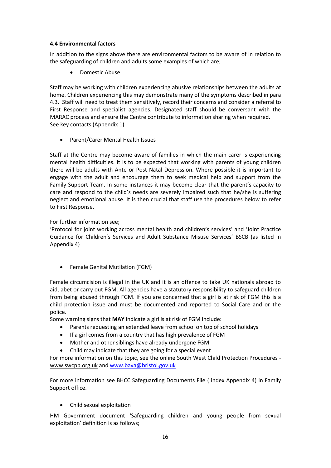# **4.4 Environmental factors**

In addition to the signs above there are environmental factors to be aware of in relation to the safeguarding of children and adults some examples of which are;

Domestic Abuse

Staff may be working with children experiencing abusive relationships between the adults at home. Children experiencing this may demonstrate many of the symptoms described in para 4.3. Staff will need to treat them sensitively, record their concerns and consider a referral to First Response and specialist agencies. Designated staff should be conversant with the MARAC process and ensure the Centre contribute to information sharing when required. See key contacts (Appendix 1)

Parent/Carer Mental Health Issues

Staff at the Centre may become aware of families in which the main carer is experiencing mental health difficulties. It is to be expected that working with parents of young children there will be adults with Ante or Post Natal Depression. Where possible it is important to engage with the adult and encourage them to seek medical help and support from the Family Support Team. In some instances it may become clear that the parent's capacity to care and respond to the child's needs are severely impaired such that he/she is suffering neglect and emotional abuse. It is then crucial that staff use the procedures below to refer to First Response.

# For further information see;

'Protocol for joint working across mental health and children's services' and 'Joint Practice Guidance for Children's Services and Adult Substance Misuse Services' BSCB (as listed in Appendix 4)

Female Genital Mutilation (FGM)

Female circumcision is illegal in the UK and it is an offence to take UK nationals abroad to aid, abet or carry out FGM. All agencies have a statutory responsibility to safeguard children from being abused through FGM. If you are concerned that a girl is at risk of FGM this is a child protection issue and must be documented and reported to Social Care and or the police.

Some warning signs that **MAY** indicate a girl is at risk of FGM include:

- Parents requesting an extended leave from school on top of school holidays
- If a girl comes from a country that has high prevalence of FGM
- Mother and other siblings have already undergone FGM
- Child may indicate that they are going for a special event

For more information on this topic, see the online South West Child Protection Procedures [www.swcpp.org.uk](http://www.swcpp.org.uk/) an[d www.bava@bristol.gov.uk](http://www.bava@bristol.gov.uk/)

For more information see BHCC Safeguarding Documents File ( index Appendix 4) in Family Support office.

Child sexual exploitation

HM Government document 'Safeguarding children and young people from sexual exploitation' definition is as follows;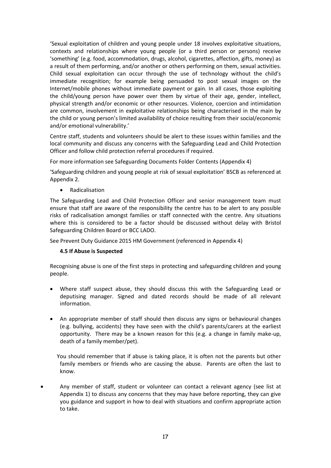'Sexual exploitation of children and young people under 18 involves exploitative situations, contexts and relationships where young people (or a third person or persons) receive 'something' (e.g. food, accommodation, drugs, alcohol, cigarettes, affection, gifts, money) as a result of them performing, and/or another or others performing on them, sexual activities. Child sexual exploitation can occur through the use of technology without the child's immediate recognition; for example being persuaded to post sexual images on the Internet/mobile phones without immediate payment or gain. In all cases, those exploiting the child/young person have power over them by virtue of their age, gender, intellect, physical strength and/or economic or other resources. Violence, coercion and intimidation are common, involvement in exploitative relationships being characterised in the main by the child or young person's limited availability of choice resulting from their social/economic and/or emotional vulnerability.'

Centre staff, students and volunteers should be alert to these issues within families and the local community and discuss any concerns with the Safeguarding Lead and Child Protection Officer and follow child protection referral procedures if required.

For more information see Safeguarding Documents Folder Contents (Appendix 4)

'Safeguarding children and young people at risk of sexual exploitation' BSCB as referenced at Appendix 2.

Radicalisation

The Safeguarding Lead and Child Protection Officer and senior management team must ensure that staff are aware of the responsibility the centre has to be alert to any possible risks of radicalisation amongst families or staff connected with the centre. Any situations where this is considered to be a factor should be discussed without delay with Bristol Safeguarding Children Board or BCC LADO.

See Prevent Duty Guidance 2015 HM Government (referenced in Appendix 4)

#### **4.5 If Abuse is Suspected**

Recognising abuse is one of the first steps in protecting and safeguarding children and young people.

- Where staff suspect abuse, they should discuss this with the Safeguarding Lead or deputising manager. Signed and dated records should be made of all relevant information.
- An appropriate member of staff should then discuss any signs or behavioural changes (e.g. bullying, accidents) they have seen with the child's parents/carers at the earliest opportunity. There may be a known reason for this (e.g. a change in family make-up, death of a family member/pet).

 You should remember that if abuse is taking place, it is often not the parents but other family members or friends who are causing the abuse. Parents are often the last to know.

 Any member of staff, student or volunteer can contact a relevant agency (see list at Appendix 1) to discuss any concerns that they may have before reporting, they can give you guidance and support in how to deal with situations and confirm appropriate action to take.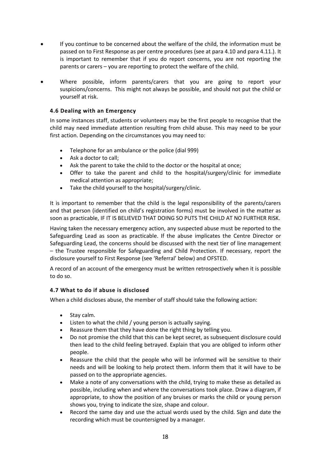- If you continue to be concerned about the welfare of the child, the information must be passed on to First Response as per centre procedures (see at para 4.10 and para 4.11.). It is important to remember that if you do report concerns, you are not reporting the parents or carers – you are reporting to protect the welfare of the child.
- Where possible, inform parents/carers that you are going to report your suspicions/concerns. This might not always be possible, and should not put the child or yourself at risk.

# **4.6 Dealing with an Emergency**

In some instances staff, students or volunteers may be the first people to recognise that the child may need immediate attention resulting from child abuse. This may need to be your first action. Depending on the circumstances you may need to:

- Telephone for an ambulance or the police (dial 999)
- Ask a doctor to call;
- Ask the parent to take the child to the doctor or the hospital at once;
- Offer to take the parent and child to the hospital/surgery/clinic for immediate medical attention as appropriate;
- Take the child yourself to the hospital/surgery/clinic.

It is important to remember that the child is the legal responsibility of the parents/carers and that person (identified on child's registration forms) must be involved in the matter as soon as practicable, IF IT IS BELIEVED THAT DOING SO PUTS THE CHILD AT NO FURTHER RISK.

Having taken the necessary emergency action, any suspected abuse must be reported to the Safeguarding Lead as soon as practicable. If the abuse implicates the Centre Director or Safeguarding Lead, the concerns should be discussed with the next tier of line management – the Trustee responsible for Safeguarding and Child Protection. If necessary, report the disclosure yourself to First Response (see 'Referral' below) and OFSTED.

A record of an account of the emergency must be written retrospectively when it is possible to do so.

#### **4.7 What to do if abuse is disclosed**

When a child discloses abuse, the member of staff should take the following action:

- Stay calm.
- Listen to what the child / young person is actually saying.
- Reassure them that they have done the right thing by telling you.
- Do not promise the child that this can be kept secret, as subsequent disclosure could then lead to the child feeling betrayed. Explain that you are obliged to inform other people.
- Reassure the child that the people who will be informed will be sensitive to their needs and will be looking to help protect them. Inform them that it will have to be passed on to the appropriate agencies.
- Make a note of any conversations with the child, trying to make these as detailed as possible, including when and where the conversations took place. Draw a diagram, if appropriate, to show the position of any bruises or marks the child or young person shows you, trying to indicate the size, shape and colour.
- Record the same day and use the actual words used by the child. Sign and date the recording which must be countersigned by a manager.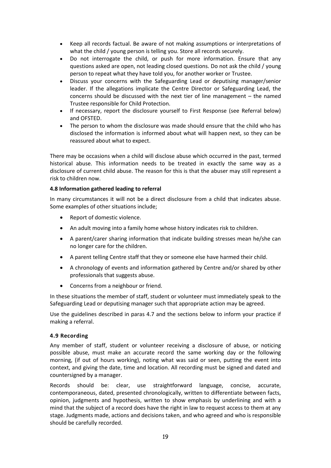- Keep all records factual. Be aware of not making assumptions or interpretations of what the child / young person is telling you. Store all records securely.
- Do not interrogate the child, or push for more information. Ensure that any questions asked are open, not leading closed questions. Do not ask the child / young person to repeat what they have told you, for another worker or Trustee.
- Discuss your concerns with the Safeguarding Lead or deputising manager/senior leader. If the allegations implicate the Centre Director or Safeguarding Lead, the concerns should be discussed with the next tier of line management – the named Trustee responsible for Child Protection.
- If necessary, report the disclosure yourself to First Response (see Referral below) and OFSTED.
- The person to whom the disclosure was made should ensure that the child who has disclosed the information is informed about what will happen next, so they can be reassured about what to expect.

There may be occasions when a child will disclose abuse which occurred in the past, termed historical abuse. This information needs to be treated in exactly the same way as a disclosure of current child abuse. The reason for this is that the abuser may still represent a risk to children now.

# **4.8 Information gathered leading to referral**

In many circumstances it will not be a direct disclosure from a child that indicates abuse. Some examples of other situations include;

- Report of domestic violence.
- An adult moving into a family home whose history indicates risk to children.
- A parent/carer sharing information that indicate building stresses mean he/she can no longer care for the children.
- A parent telling Centre staff that they or someone else have harmed their child.
- A chronology of events and information gathered by Centre and/or shared by other professionals that suggests abuse.
- Concerns from a neighbour or friend.

In these situations the member of staff, student or volunteer must immediately speak to the Safeguarding Lead or deputising manager such that appropriate action may be agreed.

Use the guidelines described in paras 4.7 and the sections below to inform your practice if making a referral.

#### **4.9 Recording**

Any member of staff, student or volunteer receiving a disclosure of abuse, or noticing possible abuse, must make an accurate record the same working day or the following morning, (if out of hours working), noting what was said or seen, putting the event into context, and giving the date, time and location. All recording must be signed and dated and countersigned by a manager.

Records should be: clear, use straightforward language, concise, accurate, contemporaneous, dated, presented chronologically, written to differentiate between facts, opinion, judgments and hypothesis, written to show emphasis by underlining and with a mind that the subject of a record does have the right in law to request access to them at any stage. Judgments made, actions and decisions taken, and who agreed and who is responsible should be carefully recorded.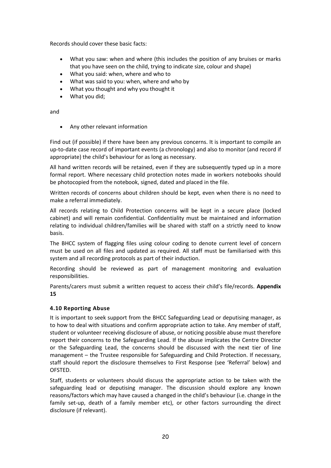Records should cover these basic facts:

- What you saw: when and where (this includes the position of any bruises or marks that you have seen on the child, trying to indicate size, colour and shape)
- What you said: when, where and who to
- What was said to you: when, where and who by
- What you thought and why you thought it
- What you did;

and

Any other relevant information

Find out (if possible) if there have been any previous concerns. It is important to compile an up-to-date case record of important events (a chronology) and also to monitor (and record if appropriate) the child's behaviour for as long as necessary.

All hand written records will be retained, even if they are subsequently typed up in a more formal report. Where necessary child protection notes made in workers notebooks should be photocopied from the notebook, signed, dated and placed in the file.

Written records of concerns about children should be kept, even when there is no need to make a referral immediately.

All records relating to Child Protection concerns will be kept in a secure place (locked cabinet) and will remain confidential. Confidentiality must be maintained and information relating to individual children/families will be shared with staff on a strictly need to know basis.

The BHCC system of flagging files using colour coding to denote current level of concern must be used on all files and updated as required. All staff must be familiarised with this system and all recording protocols as part of their induction.

Recording should be reviewed as part of management monitoring and evaluation responsibilities.

Parents/carers must submit a written request to access their child's file/records. **Appendix 15**

# **4.10 Reporting Abuse**

It is important to seek support from the BHCC Safeguarding Lead or deputising manager, as to how to deal with situations and confirm appropriate action to take. Any member of staff, student or volunteer receiving disclosure of abuse, or noticing possible abuse must therefore report their concerns to the Safeguarding Lead. If the abuse implicates the Centre Director or the Safeguarding Lead, the concerns should be discussed with the next tier of line management – the Trustee responsible for Safeguarding and Child Protection. If necessary, staff should report the disclosure themselves to First Response (see 'Referral' below) and OFSTED.

Staff, students or volunteers should discuss the appropriate action to be taken with the safeguarding lead or deputising manager. The discussion should explore any known reasons/factors which may have caused a changed in the child's behaviour (i.e. change in the family set-up, death of a family member etc), or other factors surrounding the direct disclosure (if relevant).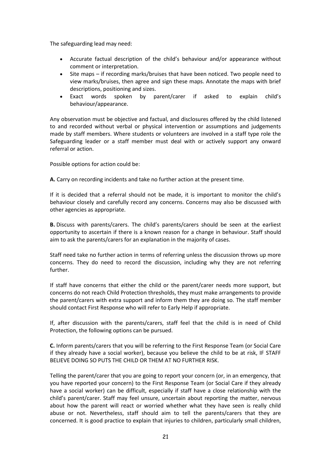The safeguarding lead may need:

- Accurate factual description of the child's behaviour and/or appearance without comment or interpretation.
- Site maps if recording marks/bruises that have been noticed. Two people need to view marks/bruises, then agree and sign these maps. Annotate the maps with brief descriptions, positioning and sizes.
- Exact words spoken by parent/carer if asked to explain child's behaviour/appearance.

Any observation must be objective and factual, and disclosures offered by the child listened to and recorded without verbal or physical intervention or assumptions and judgements made by staff members. Where students or volunteers are involved in a staff type role the Safeguarding leader or a staff member must deal with or actively support any onward referral or action.

Possible options for action could be:

**A.** Carry on recording incidents and take no further action at the present time.

If it is decided that a referral should not be made, it is important to monitor the child's behaviour closely and carefully record any concerns. Concerns may also be discussed with other agencies as appropriate.

**B.** Discuss with parents/carers. The child's parents/carers should be seen at the earliest opportunity to ascertain if there is a known reason for a change in behaviour. Staff should aim to ask the parents/carers for an explanation in the majority of cases.

Staff need take no further action in terms of referring unless the discussion throws up more concerns. They do need to record the discussion, including why they are not referring further.

If staff have concerns that either the child or the parent/carer needs more support, but concerns do not reach Child Protection thresholds, they must make arrangements to provide the parent/carers with extra support and inform them they are doing so. The staff member should contact First Response who will refer to Early Help if appropriate.

If, after discussion with the parents/carers, staff feel that the child is in need of Child Protection, the following options can be pursued.

**C.** Inform parents/carers that you will be referring to the First Response Team (or Social Care if they already have a social worker), because you believe the child to be at risk, IF STAFF BELIEVE DOING SO PUTS THE CHILD OR THEM AT NO FURTHER RISK.

Telling the parent/carer that you are going to report your concern (or, in an emergency, that you have reported your concern) to the First Response Team (or Social Care if they already have a social worker) can be difficult, especially if staff have a close relationship with the child's parent/carer. Staff may feel unsure, uncertain about reporting the matter, nervous about how the parent will react or worried whether what they have seen is really child abuse or not. Nevertheless, staff should aim to tell the parents/carers that they are concerned. It is good practice to explain that injuries to children, particularly small children,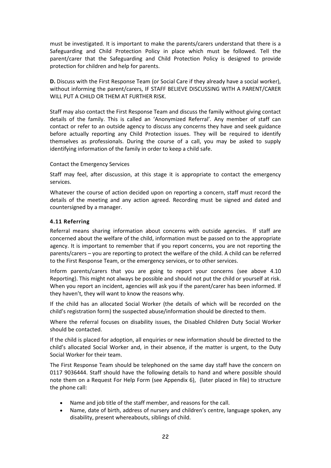must be investigated. It is important to make the parents/carers understand that there is a Safeguarding and Child Protection Policy in place which must be followed. Tell the parent/carer that the Safeguarding and Child Protection Policy is designed to provide protection for children and help for parents.

**D.** Discuss with the First Response Team (or Social Care if they already have a social worker), without informing the parent/carers, IF STAFF BELIEVE DISCUSSING WITH A PARENT/CARER WILL PUT A CHILD OR THEM AT FURTHER RISK.

Staff may also contact the First Response Team and discuss the family without giving contact details of the family. This is called an 'Anonymized Referral'. Any member of staff can contact or refer to an outside agency to discuss any concerns they have and seek guidance before actually reporting any Child Protection issues. They will be required to identify themselves as professionals. During the course of a call, you may be asked to supply identifying information of the family in order to keep a child safe.

#### Contact the Emergency Services

Staff may feel, after discussion, at this stage it is appropriate to contact the emergency services.

Whatever the course of action decided upon on reporting a concern, staff must record the details of the meeting and any action agreed. Recording must be signed and dated and countersigned by a manager.

#### **4.11 Referring**

Referral means sharing information about concerns with outside agencies. If staff are concerned about the welfare of the child, information must be passed on to the appropriate agency. It is important to remember that if you report concerns, you are not reporting the parents/carers – you are reporting to protect the welfare of the child. A child can be referred to the First Response Team, or the emergency services, or to other services.

Inform parents/carers that you are going to report your concerns (see above 4.10 Reporting). This might not always be possible and should not put the child or yourself at risk. When you report an incident, agencies will ask you if the parent/carer has been informed. If they haven't, they will want to know the reasons why.

If the child has an allocated Social Worker (the details of which will be recorded on the child's registration form) the suspected abuse/information should be directed to them.

Where the referral focuses on disability issues, the Disabled Children Duty Social Worker should be contacted.

If the child is placed for adoption, all enquiries or new information should be directed to the child's allocated Social Worker and, in their absence, if the matter is urgent, to the Duty Social Worker for their team.

The First Response Team should be telephoned on the same day staff have the concern on 0117 9036444. Staff should have the following details to hand and where possible should note them on a Request For Help Form (see Appendix 6), (later placed in file) to structure the phone call:

- Name and job title of the staff member, and reasons for the call.
- Name, date of birth, address of nursery and children's centre, language spoken, any disability, present whereabouts, siblings of child.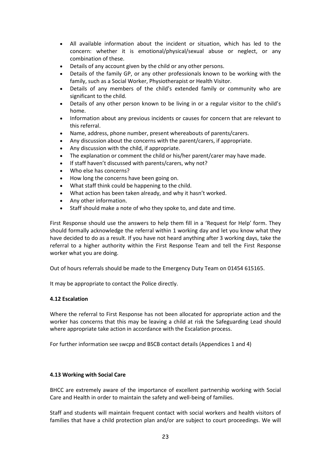- All available information about the incident or situation, which has led to the concern: whether it is emotional/physical/sexual abuse or neglect, or any combination of these.
- Details of any account given by the child or any other persons.
- Details of the family GP, or any other professionals known to be working with the family, such as a Social Worker, Physiotherapist or Health Visitor.
- Details of any members of the child's extended family or community who are significant to the child.
- Details of any other person known to be living in or a regular visitor to the child's home.
- Information about any previous incidents or causes for concern that are relevant to this referral.
- Name, address, phone number, present whereabouts of parents/carers.
- Any discussion about the concerns with the parent/carers, if appropriate.
- Any discussion with the child, if appropriate.
- The explanation or comment the child or his/her parent/carer may have made.
- If staff haven't discussed with parents/carers, why not?
- Who else has concerns?
- How long the concerns have been going on.
- What staff think could be happening to the child.
- What action has been taken already, and why it hasn't worked.
- Any other information.
- Staff should make a note of who they spoke to, and date and time.

First Response should use the answers to help them fill in a 'Request for Help' form. They should formally acknowledge the referral within 1 working day and let you know what they have decided to do as a result. If you have not heard anything after 3 working days, take the referral to a higher authority within the First Response Team and tell the First Response worker what you are doing.

Out of hours referrals should be made to the Emergency Duty Team on 01454 615165.

It may be appropriate to contact the Police directly.

#### **4.12 Escalation**

Where the referral to First Response has not been allocated for appropriate action and the worker has concerns that this may be leaving a child at risk the Safeguarding Lead should where appropriate take action in accordance with the Escalation process.

For further information see swcpp and BSCB contact details (Appendices 1 and 4)

#### **4.13 Working with Social Care**

BHCC are extremely aware of the importance of excellent partnership working with Social Care and Health in order to maintain the safety and well-being of families.

Staff and students will maintain frequent contact with social workers and health visitors of families that have a child protection plan and/or are subject to court proceedings. We will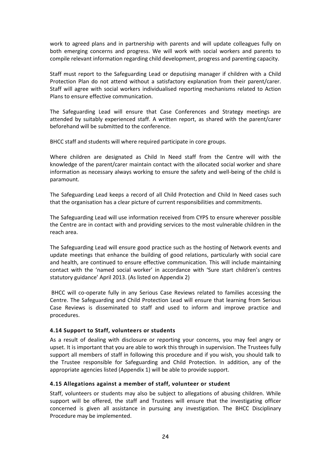work to agreed plans and in partnership with parents and will update colleagues fully on both emerging concerns and progress. We will work with social workers and parents to compile relevant information regarding child development, progress and parenting capacity.

Staff must report to the Safeguarding Lead or deputising manager if children with a Child Protection Plan do not attend without a satisfactory explanation from their parent/carer. Staff will agree with social workers individualised reporting mechanisms related to Action Plans to ensure effective communication.

The Safeguarding Lead will ensure that Case Conferences and Strategy meetings are attended by suitably experienced staff. A written report, as shared with the parent/carer beforehand will be submitted to the conference.

BHCC staff and students will where required participate in core groups.

Where children are designated as Child In Need staff from the Centre will with the knowledge of the parent/carer maintain contact with the allocated social worker and share information as necessary always working to ensure the safety and well-being of the child is paramount.

The Safeguarding Lead keeps a record of all Child Protection and Child In Need cases such that the organisation has a clear picture of current responsibilities and commitments.

The Safeguarding Lead will use information received from CYPS to ensure wherever possible the Centre are in contact with and providing services to the most vulnerable children in the reach area.

The Safeguarding Lead will ensure good practice such as the hosting of Network events and update meetings that enhance the building of good relations, particularly with social care and health, are continued to ensure effective communication. This will include maintaining contact with the 'named social worker' in accordance with 'Sure start children's centres statutory guidance' April 2013. (As listed on Appendix 2)

BHCC will co-operate fully in any Serious Case Reviews related to families accessing the Centre. The Safeguarding and Child Protection Lead will ensure that learning from Serious Case Reviews is disseminated to staff and used to inform and improve practice and procedures.

# **4.14 Support to Staff, volunteers or students**

As a result of dealing with disclosure or reporting your concerns, you may feel angry or upset. It is important that you are able to work this through in supervision. The Trustees fully support all members of staff in following this procedure and if you wish, you should talk to the Trustee responsible for Safeguarding and Child Protection. In addition, any of the appropriate agencies listed (Appendix 1) will be able to provide support.

#### **4.15 Allegations against a member of staff, volunteer or student**

Staff, volunteers or students may also be subject to allegations of abusing children. While support will be offered, the staff and Trustees will ensure that the investigating officer concerned is given all assistance in pursuing any investigation. The BHCC Disciplinary Procedure may be implemented.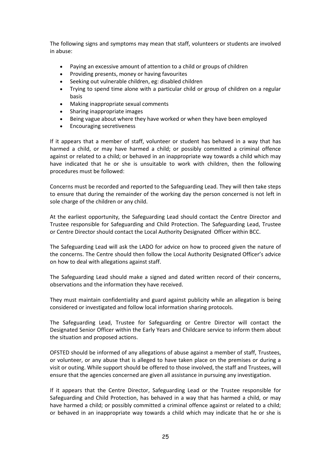The following signs and symptoms may mean that staff, volunteers or students are involved in abuse:

- Paying an excessive amount of attention to a child or groups of children
- Providing presents, money or having favourites
- Seeking out vulnerable children, eg: disabled children
- Trying to spend time alone with a particular child or group of children on a regular basis
- Making inappropriate sexual comments
- Sharing inappropriate images
- Being vague about where they have worked or when they have been employed
- Encouraging secretiveness

If it appears that a member of staff, volunteer or student has behaved in a way that has harmed a child, or may have harmed a child; or possibly committed a criminal offence against or related to a child; or behaved in an inappropriate way towards a child which may have indicated that he or she is unsuitable to work with children, then the following procedures must be followed:

Concerns must be recorded and reported to the Safeguarding Lead. They will then take steps to ensure that during the remainder of the working day the person concerned is not left in sole charge of the children or any child.

At the earliest opportunity, the Safeguarding Lead should contact the Centre Director and Trustee responsible for Safeguarding and Child Protection. The Safeguarding Lead, Trustee or Centre Director should contact the Local Authority Designated Officer within BCC.

The Safeguarding Lead will ask the LADO for advice on how to proceed given the nature of the concerns. The Centre should then follow the Local Authority Designated Officer's advice on how to deal with allegations against staff.

The Safeguarding Lead should make a signed and dated written record of their concerns, observations and the information they have received.

They must maintain confidentiality and guard against publicity while an allegation is being considered or investigated and follow local information sharing protocols.

The Safeguarding Lead, Trustee for Safeguarding or Centre Director will contact the Designated Senior Officer within the Early Years and Childcare service to inform them about the situation and proposed actions.

OFSTED should be informed of any allegations of abuse against a member of staff, Trustees, or volunteer, or any abuse that is alleged to have taken place on the premises or during a visit or outing. While support should be offered to those involved, the staff and Trustees, will ensure that the agencies concerned are given all assistance in pursuing any investigation.

If it appears that the Centre Director, Safeguarding Lead or the Trustee responsible for Safeguarding and Child Protection, has behaved in a way that has harmed a child, or may have harmed a child; or possibly committed a criminal offence against or related to a child; or behaved in an inappropriate way towards a child which may indicate that he or she is